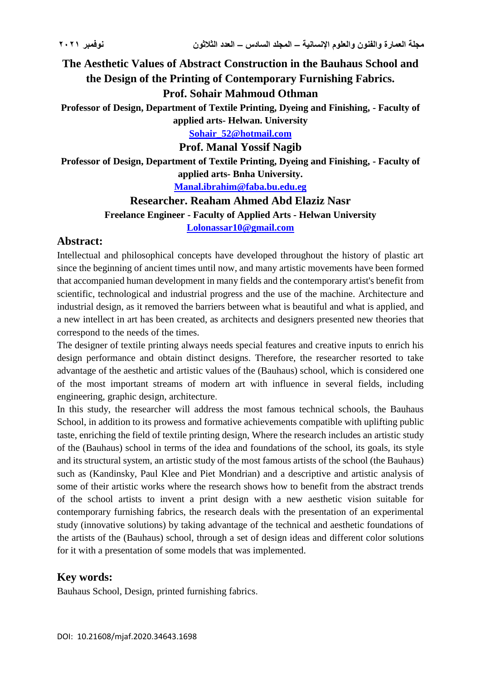**The Aesthetic Values of Abstract Construction in the Bauhaus School and the Design of the Printing of Contemporary Furnishing Fabrics.**

**Prof. Sohair Mahmoud Othman**

**Professor of Design, Department of Textile Printing, Dyeing and Finishing, - Faculty of applied arts- Helwan. University**

**[Sohair\\_52@hotmail.com](mailto:Sohair_52@hotmail.com)**

**Prof. Manal Yossif Nagib**

**Professor of Design, Department of Textile Printing, Dyeing and Finishing, - Faculty of applied arts- Bnha University.**

**[Manal.ibrahim@faba.bu.edu.eg](mailto:Manal.ibrahim@faba.bu.edu.eg)**

**Researcher. Reaham Ahmed Abd Elaziz Nasr**

**Freelance Engineer - Faculty of Applied Arts - Helwan University**

**[Lolonassar10@gmail.com](mailto:Lolonassar10@gmail.com)**

## **Abstract:**

Intellectual and philosophical concepts have developed throughout the history of plastic art since the beginning of ancient times until now, and many artistic movements have been formed that accompanied human development in many fields and the contemporary artist's benefit from scientific, technological and industrial progress and the use of the machine. Architecture and industrial design, as it removed the barriers between what is beautiful and what is applied, and a new intellect in art has been created, as architects and designers presented new theories that correspond to the needs of the times.

The designer of textile printing always needs special features and creative inputs to enrich his design performance and obtain distinct designs. Therefore, the researcher resorted to take advantage of the aesthetic and artistic values of the (Bauhaus) school, which is considered one of the most important streams of modern art with influence in several fields, including engineering, graphic design, architecture.

In this study, the researcher will address the most famous technical schools, the Bauhaus School, in addition to its prowess and formative achievements compatible with uplifting public taste, enriching the field of textile printing design, Where the research includes an artistic study of the (Bauhaus) school in terms of the idea and foundations of the school, its goals, its style and its structural system, an artistic study of the most famous artists of the school (the Bauhaus) such as (Kandinsky, Paul Klee and Piet Mondrian) and a descriptive and artistic analysis of some of their artistic works where the research shows how to benefit from the abstract trends of the school artists to invent a print design with a new aesthetic vision suitable for contemporary furnishing fabrics, the research deals with the presentation of an experimental study (innovative solutions) by taking advantage of the technical and aesthetic foundations of the artists of the (Bauhaus) school, through a set of design ideas and different color solutions for it with a presentation of some models that was implemented.

# **Key words:**

Bauhaus School, Design, printed furnishing fabrics.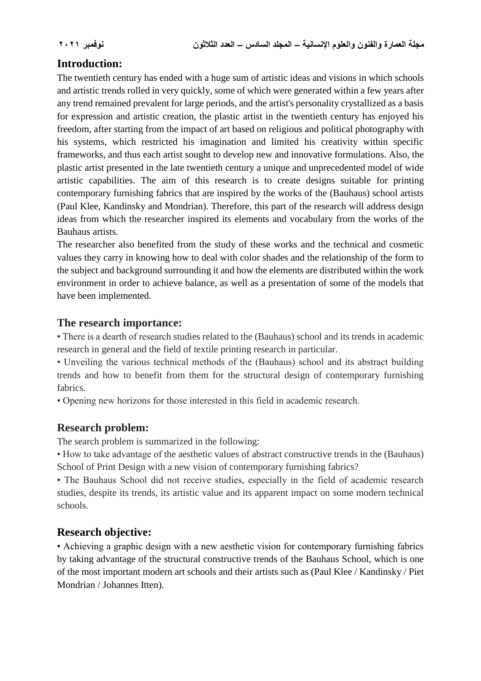# **Introduction:**

The twentieth century has ended with a huge sum of artistic ideas and visions in which schools and artistic trends rolled in very quickly, some of which were generated within a few years after any trend remained prevalent for large periods, and the artist's personality crystallized as a basis for expression and artistic creation, the plastic artist in the twentieth century has enjoyed his freedom, after starting from the impact of art based on religious and political photography with his systems, which restricted his imagination and limited his creativity within specific frameworks, and thus each artist sought to develop new and innovative formulations. Also, the plastic artist presented in the late twentieth century a unique and unprecedented model of wide artistic capabilities. The aim of this research is to create designs suitable for printing contemporary furnishing fabrics that are inspired by the works of the (Bauhaus) school artists (Paul Klee, Kandinsky and Mondrian). Therefore, this part of the research will address design ideas from which the researcher inspired its elements and vocabulary from the works of the Bauhaus artists.

The researcher also benefited from the study of these works and the technical and cosmetic values they carry in knowing how to deal with color shades and the relationship of the form to the subject and background surrounding it and how the elements are distributed within the work environment in order to achieve balance, as well as a presentation of some of the models that have been implemented.

## **The research importance:**

• There is a dearth of research studies related to the (Bauhaus) school and its trends in academic research in general and the field of textile printing research in particular.

• Unveiling the various technical methods of the (Bauhaus) school and its abstract building trends and how to benefit from them for the structural design of contemporary furnishing fabrics.

• Opening new horizons for those interested in this field in academic research.

## **Research problem:**

The search problem is summarized in the following:

• How to take advantage of the aesthetic values of abstract constructive trends in the (Bauhaus) School of Print Design with a new vision of contemporary furnishing fabrics?

• The Bauhaus School did not receive studies, especially in the field of academic research studies, despite its trends, its artistic value and its apparent impact on some modern technical schools.

# **Research objective:**

• Achieving a graphic design with a new aesthetic vision for contemporary furnishing fabrics by taking advantage of the structural constructive trends of the Bauhaus School, which is one of the most important modern art schools and their artists such as (Paul Klee / Kandinsky / Piet Mondrian / Johannes Itten).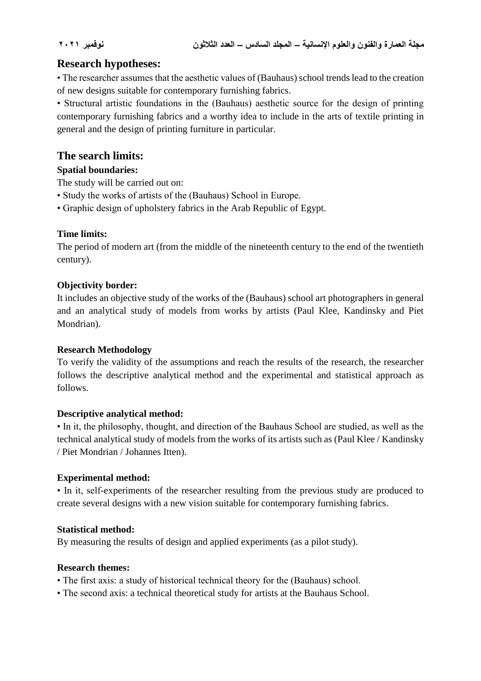# **Research hypotheses:**

• The researcher assumes that the aesthetic values of (Bauhaus) school trends lead to the creation of new designs suitable for contemporary furnishing fabrics.

• Structural artistic foundations in the (Bauhaus) aesthetic source for the design of printing contemporary furnishing fabrics and a worthy idea to include in the arts of textile printing in general and the design of printing furniture in particular.

# **The search limits:**

## **Spatial boundaries:**

- The study will be carried out on:
- Study the works of artists of the (Bauhaus) School in Europe.
- Graphic design of upholstery fabrics in the Arab Republic of Egypt.

## **Time limits:**

The period of modern art (from the middle of the nineteenth century to the end of the twentieth century).

### **Objectivity border:**

It includes an objective study of the works of the (Bauhaus) school art photographers in general and an analytical study of models from works by artists (Paul Klee, Kandinsky and Piet Mondrian).

### **Research Methodology**

To verify the validity of the assumptions and reach the results of the research, the researcher follows the descriptive analytical method and the experimental and statistical approach as follows.

### **Descriptive analytical method:**

• In it, the philosophy, thought, and direction of the Bauhaus School are studied, as well as the technical analytical study of models from the works of its artists such as (Paul Klee / Kandinsky / Piet Mondrian / Johannes Itten).

### **Experimental method:**

• In it, self-experiments of the researcher resulting from the previous study are produced to create several designs with a new vision suitable for contemporary furnishing fabrics.

### **Statistical method:**

By measuring the results of design and applied experiments (as a pilot study).

### **Research themes:**

- The first axis: a study of historical technical theory for the (Bauhaus) school.
- The second axis: a technical theoretical study for artists at the Bauhaus School.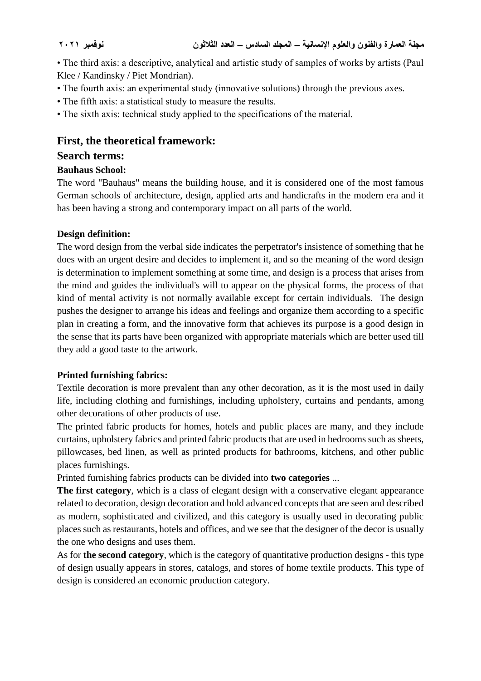• The third axis: a descriptive, analytical and artistic study of samples of works by artists (Paul Klee / Kandinsky / Piet Mondrian).

- The fourth axis: an experimental study (innovative solutions) through the previous axes.
- The fifth axis: a statistical study to measure the results.
- The sixth axis: technical study applied to the specifications of the material.

## **First, the theoretical framework:**

## **Search terms:**

## **Bauhaus School:**

The word "Bauhaus" means the building house, and it is considered one of the most famous German schools of architecture, design, applied arts and handicrafts in the modern era and it has been having a strong and contemporary impact on all parts of the world.

### **Design definition:**

The word design from the verbal side indicates the perpetrator's insistence of something that he does with an urgent desire and decides to implement it, and so the meaning of the word design is determination to implement something at some time, and design is a process that arises from the mind and guides the individual's will to appear on the physical forms, the process of that kind of mental activity is not normally available except for certain individuals. The design pushes the designer to arrange his ideas and feelings and organize them according to a specific plan in creating a form, and the innovative form that achieves its purpose is a good design in the sense that its parts have been organized with appropriate materials which are better used till they add a good taste to the artwork.

## **Printed furnishing fabrics:**

Textile decoration is more prevalent than any other decoration, as it is the most used in daily life, including clothing and furnishings, including upholstery, curtains and pendants, among other decorations of other products of use.

The printed fabric products for homes, hotels and public places are many, and they include curtains, upholstery fabrics and printed fabric products that are used in bedrooms such as sheets, pillowcases, bed linen, as well as printed products for bathrooms, kitchens, and other public places furnishings.

Printed furnishing fabrics products can be divided into **two categories** ...

**The first category**, which is a class of elegant design with a conservative elegant appearance related to decoration, design decoration and bold advanced concepts that are seen and described as modern, sophisticated and civilized, and this category is usually used in decorating public places such as restaurants, hotels and offices, and we see that the designer of the decor is usually the one who designs and uses them.

As for **the second category**, which is the category of quantitative production designs - this type of design usually appears in stores, catalogs, and stores of home textile products. This type of design is considered an economic production category.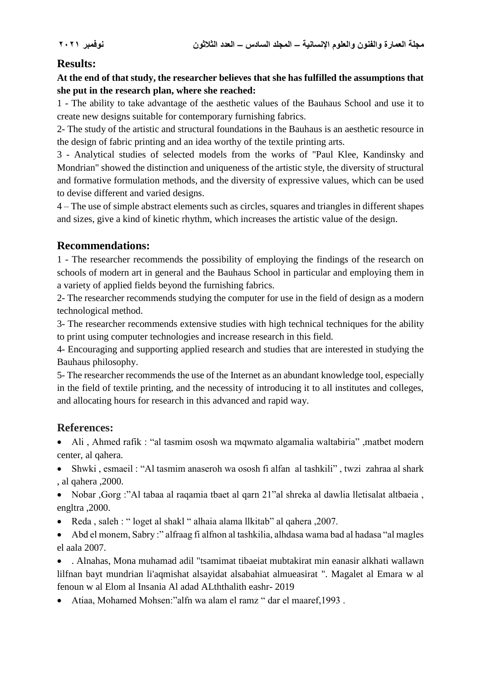# **Results:**

**At the end of that study, the researcher believes that she has fulfilled the assumptions that she put in the research plan, where she reached:**

1 - The ability to take advantage of the aesthetic values of the Bauhaus School and use it to create new designs suitable for contemporary furnishing fabrics.

2- The study of the artistic and structural foundations in the Bauhaus is an aesthetic resource in the design of fabric printing and an idea worthy of the textile printing arts.

3 - Analytical studies of selected models from the works of "Paul Klee, Kandinsky and Mondrian" showed the distinction and uniqueness of the artistic style, the diversity of structural and formative formulation methods, and the diversity of expressive values, which can be used to devise different and varied designs.

4 – The use of simple abstract elements such as circles, squares and triangles in different shapes and sizes, give a kind of kinetic rhythm, which increases the artistic value of the design.

# **Recommendations:**

1 - The researcher recommends the possibility of employing the findings of the research on schools of modern art in general and the Bauhaus School in particular and employing them in a variety of applied fields beyond the furnishing fabrics.

2- The researcher recommends studying the computer for use in the field of design as a modern technological method.

3- The researcher recommends extensive studies with high technical techniques for the ability to print using computer technologies and increase research in this field.

4- Encouraging and supporting applied research and studies that are interested in studying the Bauhaus philosophy.

5- The researcher recommends the use of the Internet as an abundant knowledge tool, especially in the field of textile printing, and the necessity of introducing it to all institutes and colleges, and allocating hours for research in this advanced and rapid way.

# **References:**

 Ali , Ahmed rafik : "al tasmim ososh wa mqwmato algamalia waltabiria" ,matbet modern center, al qahera.

 Shwki , esmaeil : "Al tasmim anaseroh wa ososh fi alfan al tashkili" , twzi zahraa al shark , al qahera ,2000.

 Nobar ,Gorg :"Al tabaa al raqamia tbaet al qarn 21"al shreka al dawlia lletisalat altbaeia , engltra ,2000.

- Reda , saleh : " loget al shakl " alhaia alama llkitab" al qahera ,2007.
- Abd el monem, Sabry :" alfraag fi alfnon al tashkilia, alhdasa wama bad al hadasa "al magles el aala 2007.

 . Alnahas, Mona muhamad adil "tsamimat tibaeiat mubtakirat min eanasir alkhati wallawn lilfnan bayt mundrian li'aqmishat alsayidat alsabahiat almueasirat ". Magalet al Emara w al fenoun w al Elom al Insania Al adad ALththalith eashr- 2019

Atiaa, Mohamed Mohsen:"alfn wa alam el ramz " dar el maaref,1993 .